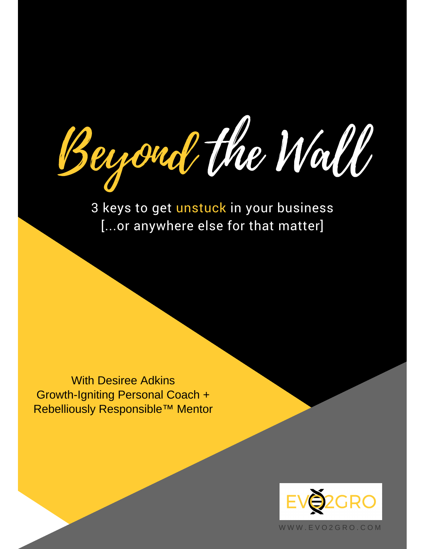youd the Wall

3 keys to get unstuck in your business [...or anywhere else for that matter]

With Desiree Adkins Growth-Igniting Personal Coach + Rebelliously Responsible™ Mentor



W W W . E V O 2 G R O . C O M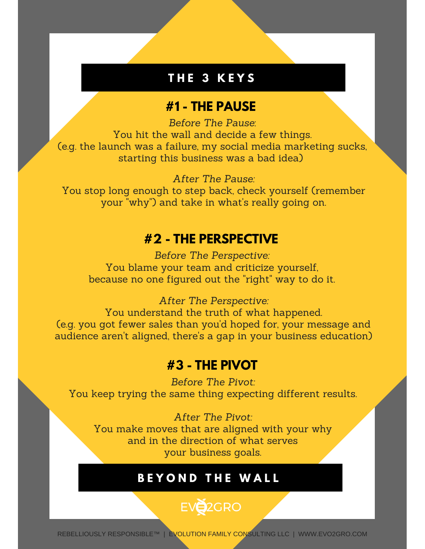#### **T H E 3 K E Y S**

#### **#1 - THE PAUSE**

*Before The Pause*: You hit the wall and decide a few things. (e.g. the launch was a failure, my social media marketing sucks, starting this business was a bad idea)

*After The Pause:* You stop long enough to step back, check yourself (remember your "why") and take in what's really going on.

#### **#2 - THE PERSPECTIVE**

*Before The Perspective:* You blame your team and criticize yourself, because no one figured out the "right" way to do it.

*After The Perspective:* You understand the truth of what happened. (e.g. you got fewer sales than you'd hoped for, your message and audience aren't aligned, there's a gap in your business education)

#### **#3 - THE PIVOT**

*Before The Pivot:* You keep trying the same thing expecting different results.

*After The Pivot:* You make moves that are aligned with your why and in the direction of what serves your business goals.

#### **B E Y O N D T H E W A L L**

## EV<sub>2</sub>2GRO

REBELLIOUSLY RESPONSIBLE™ | EVOLUTION FAMILY CONSULTING LLC | WWW.EVO2GRO.COM